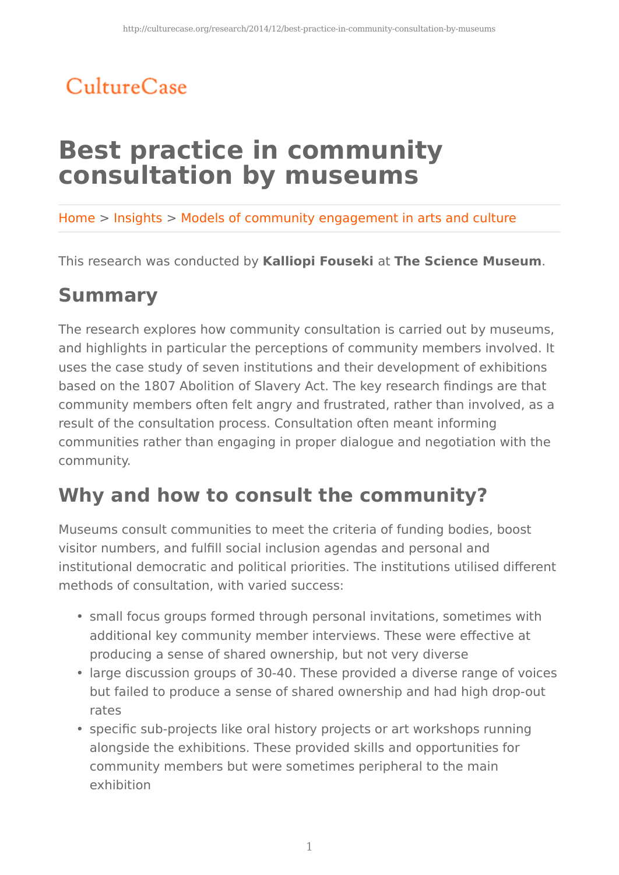## CultureCase

# **Best practice in community consultation by museums**

Home > Insights > Models of community engagement in arts and culture

This research was conducted by **Kalliopi Fouseki** at **The Science Museum**.

#### **Summary**

The research explores how community consultation is carried out by museums, and highlights in particular the perceptions of community members involved. It uses the case study of seven institutions and their development of exhibitions based on the 1807 Abolition of Slavery Act. The key research findings are that community members often felt angry and frustrated, rather than involved, as a result of the consultation process. Consultation often meant informing communities rather than engaging in proper dialogue and negotiation with the community.

### **Why and how to consult the community?**

Museums consult communities to meet the criteria of funding bodies, boost visitor numbers, and fulfill social inclusion agendas and personal and institutional democratic and political priorities. The institutions utilised different methods of consultation, with varied success:

- small focus groups formed through personal invitations, sometimes with additional key community member interviews. These were effective at producing a sense of shared ownership, but not very diverse
- large discussion groups of 30-40. These provided a diverse range of voices but failed to produce a sense of shared ownership and had high drop-out rates
- specific sub-projects like oral history projects or art workshops running alongside the exhibitions. These provided skills and opportunities for community members but were sometimes peripheral to the main exhibition